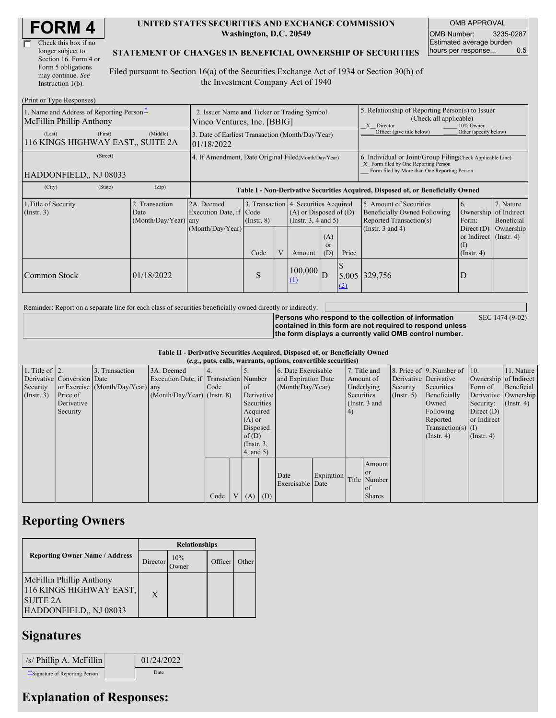| Check this box if no  |  |
|-----------------------|--|
| longer subject to     |  |
| Section 16. Form 4 or |  |
| Form 5 obligations    |  |
| may continue. See     |  |
| Instruction 1(b).     |  |

#### **UNITED STATES SECURITIES AND EXCHANGE COMMISSION Washington, D.C. 20549**

OMB APPROVAL OMB Number: 3235-0287 Estimated average burden hours per response... 0.5

SEC 1474 (9-02)

### **STATEMENT OF CHANGES IN BENEFICIAL OWNERSHIP OF SECURITIES**

Filed pursuant to Section 16(a) of the Securities Exchange Act of 1934 or Section 30(h) of the Investment Company Act of 1940

| (Print or Type Responses)                                            |                                                                            |                                                                |                 |   |                                                                                            |                                                                                                                                                    |                                                                                                       |                                                                                           |                                                                   |           |  |
|----------------------------------------------------------------------|----------------------------------------------------------------------------|----------------------------------------------------------------|-----------------|---|--------------------------------------------------------------------------------------------|----------------------------------------------------------------------------------------------------------------------------------------------------|-------------------------------------------------------------------------------------------------------|-------------------------------------------------------------------------------------------|-------------------------------------------------------------------|-----------|--|
| 1. Name and Address of Reporting Person-<br>McFillin Phillip Anthony | 2. Issuer Name and Ticker or Trading Symbol<br>Vinco Ventures, Inc. [BBIG] |                                                                |                 |   |                                                                                            |                                                                                                                                                    | 5. Relationship of Reporting Person(s) to Issuer<br>(Check all applicable)<br>10% Owner<br>X Director |                                                                                           |                                                                   |           |  |
| (First)<br>(Last)<br>116 KINGS HIGHWAY EAST., SUITE 2A               | (Middle)                                                                   | 3. Date of Earliest Transaction (Month/Day/Year)<br>01/18/2022 |                 |   |                                                                                            |                                                                                                                                                    | Officer (give title below)                                                                            | Other (specify below)                                                                     |                                                                   |           |  |
| (Street)<br>HADDONFIELD., NJ 08033                                   | 4. If Amendment, Date Original Filed(Month/Day/Year)                       |                                                                |                 |   |                                                                                            | 6. Individual or Joint/Group Filing Check Applicable Line)<br>X Form filed by One Reporting Person<br>Form filed by More than One Reporting Person |                                                                                                       |                                                                                           |                                                                   |           |  |
| (City)<br>(State)                                                    | (Zip)                                                                      |                                                                |                 |   |                                                                                            |                                                                                                                                                    |                                                                                                       | Table I - Non-Derivative Securities Acquired, Disposed of, or Beneficially Owned          |                                                                   |           |  |
| 1. Title of Security<br>$($ Instr. 3 $)$                             | 2. Transaction<br>Date<br>(Month/Day/Year) any                             | 2A. Deemed<br>Execution Date, if Code                          | $($ Instr. $8)$ |   | 3. Transaction 4. Securities Acquired<br>$(A)$ or Disposed of $(D)$<br>(Instr. 3, 4 and 5) |                                                                                                                                                    |                                                                                                       | 5. Amount of Securities<br><b>Beneficially Owned Following</b><br>Reported Transaction(s) | 7. Nature<br>6.<br>Ownership of Indirect<br>Form:<br>Beneficial   |           |  |
|                                                                      |                                                                            | (Month/Day/Year)                                               | Code            | V | Amount                                                                                     | (A)<br><sub>or</sub><br>(D)                                                                                                                        | Price                                                                                                 | (Instr. $3$ and $4$ )                                                                     | Direct $(D)$<br>or Indirect (Instr. 4)<br>(I)<br>$($ Instr. 4 $)$ | Ownership |  |
| Common Stock                                                         | 01/18/2022                                                                 |                                                                | S               |   | $100,000$ D<br>(1)                                                                         |                                                                                                                                                    | (2)                                                                                                   | 5.005 329,756                                                                             | D                                                                 |           |  |

Reminder: Report on a separate line for each class of securities beneficially owned directly or indirectly.

**Persons who respond to the collection of information contained in this form are not required to respond unless the form displays a currently valid OMB control number.**

**Table II - Derivative Securities Acquired, Disposed of, or Beneficially Owned**

|                        | (e.g., puts, calls, warrants, options, convertible securities) |                                  |                                       |      |  |                 |            |                     |            |            |                 |               |                              |               |                       |
|------------------------|----------------------------------------------------------------|----------------------------------|---------------------------------------|------|--|-----------------|------------|---------------------|------------|------------|-----------------|---------------|------------------------------|---------------|-----------------------|
| 1. Title of $\vert$ 2. |                                                                | 3. Transaction                   | 3A. Deemed                            |      |  |                 |            | 6. Date Exercisable |            |            | 7. Title and    |               | 8. Price of 9. Number of 10. |               | 11. Nature            |
|                        | Derivative Conversion Date                                     |                                  | Execution Date, if Transaction Number |      |  |                 |            | and Expiration Date |            |            | Amount of       |               | Derivative Derivative        |               | Ownership of Indirect |
| Security               |                                                                | or Exercise (Month/Day/Year) any |                                       | Code |  | of              |            | (Month/Day/Year)    |            |            | Underlying      | Security      | Securities                   | Form of       | Beneficial            |
| $($ Instr. 3 $)$       | Price of                                                       |                                  | $(Month/Day/Year)$ (Instr. 8)         |      |  |                 | Derivative |                     |            | Securities |                 | $($ Instr. 5) | Beneficially                 |               | Derivative Ownership  |
|                        | Derivative                                                     |                                  |                                       |      |  | Securities      |            |                     |            |            | (Instr. $3$ and |               | Owned                        | Security:     | $($ Instr. 4 $)$      |
|                        | Security                                                       |                                  |                                       |      |  | Acquired        |            |                     |            | 4)         |                 |               | Following                    | Direct $(D)$  |                       |
|                        |                                                                |                                  |                                       |      |  | $(A)$ or        |            |                     |            |            |                 |               | Reported                     | or Indirect   |                       |
|                        |                                                                |                                  |                                       |      |  | Disposed        |            |                     |            |            |                 |               | $Transaction(s)$ (I)         |               |                       |
|                        |                                                                |                                  |                                       |      |  | of(D)           |            |                     |            |            |                 |               | $($ Instr. 4 $)$             | $($ Instr. 4) |                       |
|                        |                                                                |                                  |                                       |      |  | $($ Instr. $3,$ |            |                     |            |            |                 |               |                              |               |                       |
|                        |                                                                |                                  |                                       |      |  | $4$ , and $5$ ) |            |                     |            |            |                 |               |                              |               |                       |
|                        |                                                                |                                  |                                       |      |  |                 |            |                     |            |            | Amount          |               |                              |               |                       |
|                        |                                                                |                                  |                                       |      |  |                 |            |                     |            |            | <b>or</b>       |               |                              |               |                       |
|                        |                                                                |                                  |                                       |      |  |                 |            | Date                | Expiration |            | Title Number    |               |                              |               |                       |
|                        |                                                                |                                  |                                       |      |  |                 |            | Exercisable Date    |            |            | <sub>of</sub>   |               |                              |               |                       |
|                        |                                                                |                                  |                                       | Code |  | V(A)            | (D)        |                     |            |            | <b>Shares</b>   |               |                              |               |                       |

### **Reporting Owners**

|                                                                                                  | <b>Relationships</b> |               |         |       |  |  |  |
|--------------------------------------------------------------------------------------------------|----------------------|---------------|---------|-------|--|--|--|
| <b>Reporting Owner Name / Address</b>                                                            | Director             | 10%<br>Dwner) | Officer | Other |  |  |  |
| McFillin Phillip Anthony<br>116 KINGS HIGHWAY EAST,<br><b>SUITE 2A</b><br>HADDONFIELD., NJ 08033 | X                    |               |         |       |  |  |  |

## **Signatures**

| $/s$ / Phillip A. McFillin     | 01/24/2022 |
|--------------------------------|------------|
| "Signature of Reporting Person | Date       |

# **Explanation of Responses:**